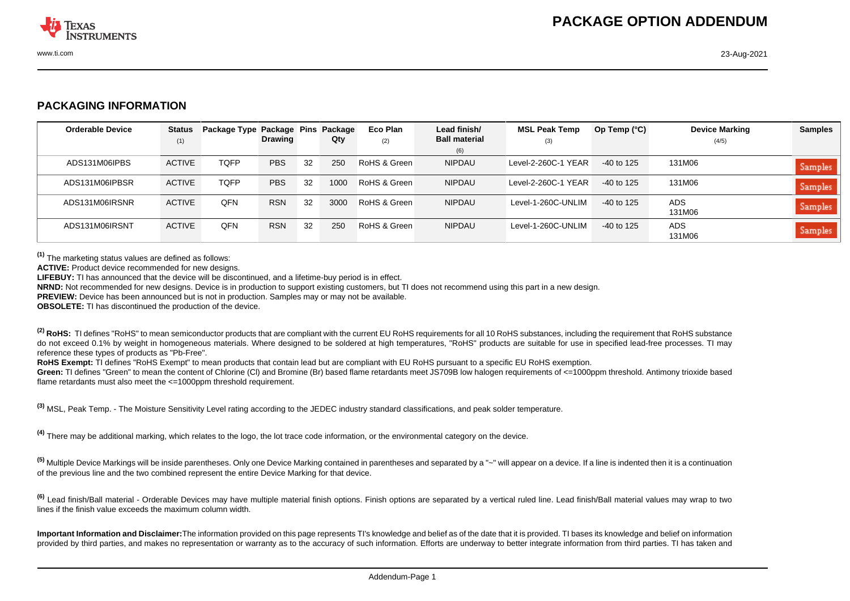

## **PACKAGING INFORMATION**

| <b>Orderable Device</b> | <b>Status</b><br>(1) | Package Type Package Pins | <b>Drawing</b> |    | Package<br>Qty | Eco Plan<br>(2) | Lead finish/<br><b>Ball material</b> | <b>MSL Peak Temp</b><br>(3) | Op Temp $(°C)$ | <b>Device Marking</b><br>(4/5) | <b>Samples</b> |
|-------------------------|----------------------|---------------------------|----------------|----|----------------|-----------------|--------------------------------------|-----------------------------|----------------|--------------------------------|----------------|
|                         |                      |                           |                |    |                |                 | (6)                                  |                             |                |                                |                |
| ADS131M06IPBS           | <b>ACTIVE</b>        | <b>TQFP</b>               | <b>PBS</b>     | 32 | 250            | RoHS & Green    | <b>NIPDAU</b>                        | Level-2-260C-1 YEAR         | $-40$ to 125   | 131M06                         | Samples        |
| ADS131M06IPBSR          | <b>ACTIVE</b>        | <b>TQFP</b>               | <b>PBS</b>     | 32 | 1000           | RoHS & Green    | <b>NIPDAU</b>                        | Level-2-260C-1 YEAR         | -40 to 125     | 131M06                         | Samples        |
| ADS131M06IRSNR          | <b>ACTIVE</b>        | <b>OFN</b>                | <b>RSN</b>     | 32 | 3000           | RoHS & Green    | <b>NIPDAU</b>                        | Level-1-260C-UNLIM          | -40 to 125     | ADS.<br>131M06                 | Samples        |
| ADS131M06IRSNT          | <b>ACTIVE</b>        | QFN                       | <b>RSN</b>     | 32 | 250            | RoHS & Green    | <b>NIPDAU</b>                        | Level-1-260C-UNLIM          | -40 to 125     | <b>ADS</b><br>131M06           | Samples        |

**(1)** The marketing status values are defined as follows:

**ACTIVE:** Product device recommended for new designs.

**LIFEBUY:** TI has announced that the device will be discontinued, and a lifetime-buy period is in effect.

**NRND:** Not recommended for new designs. Device is in production to support existing customers, but TI does not recommend using this part in a new design.

**PREVIEW:** Device has been announced but is not in production. Samples may or may not be available.

**OBSOLETE:** TI has discontinued the production of the device.

<sup>(2)</sup> RoHS: TI defines "RoHS" to mean semiconductor products that are compliant with the current EU RoHS requirements for all 10 RoHS substances, including the requirement that RoHS substance do not exceed 0.1% by weight in homogeneous materials. Where designed to be soldered at high temperatures, "RoHS" products are suitable for use in specified lead-free processes. TI may reference these types of products as "Pb-Free".

RoHS Exempt: TI defines "RoHS Exempt" to mean products that contain lead but are compliant with EU RoHS pursuant to a specific EU RoHS exemption.

Green: TI defines "Green" to mean the content of Chlorine (CI) and Bromine (Br) based flame retardants meet JS709B low halogen requirements of <=1000ppm threshold. Antimony trioxide based flame retardants must also meet the <=1000ppm threshold requirement.

**(3)** MSL, Peak Temp. - The Moisture Sensitivity Level rating according to the JEDEC industry standard classifications, and peak solder temperature.

**(4)** There may be additional marking, which relates to the logo, the lot trace code information, or the environmental category on the device.

<sup>(5)</sup> Multiple Device Markings will be inside parentheses. Only one Device Marking contained in parentheses and separated by a "~" will appear on a device. If a line is indented then it is a continuation of the previous line and the two combined represent the entire Device Marking for that device.

**(6)** Lead finish/Ball material - Orderable Devices may have multiple material finish options. Finish options are separated by a vertical ruled line. Lead finish/Ball material values may wrap to two lines if the finish value exceeds the maximum column width.

**Important Information and Disclaimer:**The information provided on this page represents TI's knowledge and belief as of the date that it is provided. TI bases its knowledge and belief on information provided by third parties, and makes no representation or warranty as to the accuracy of such information. Efforts are underway to better integrate information from third parties. TI has taken and